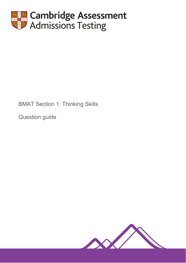

# BMAT Section 1: Thinking Skills

Question guide

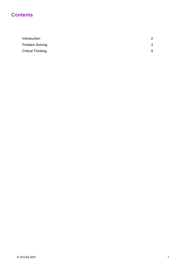# **Contents**

| Introduction             |  |
|--------------------------|--|
| <b>Problem Solving</b>   |  |
| <b>Critical Thinking</b> |  |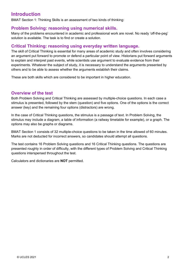# **Introduction**

BMAT Section 1: Thinking Skills is an assessment of two kinds of thinking:

### **Problem Solving: reasoning using numerical skills.**

Many of the problems encountered in academic and professional work are novel. No ready ʻoff-the-peg' solution is available. The task is to find or create a solution.

### **Critical Thinking: reasoning using everyday written language.**

The skill of Critical Thinking is essential for many areas of academic study and often involves considering an argument put forward to promote or defend a particular point of view. Historians put forward arguments to explain and interpret past events, while scientists use argument to evaluate evidence from their experiments. Whatever the subject of study, it is necessary to understand the arguments presented by others and to be able to assess whether the arguments establish their claims.

These are both skills which are considered to be important in higher education.

### **Overview of the test**

Both Problem Solving and Critical Thinking are assessed by multiple-choice questions. In each case a stimulus is presented, followed by the stem (question) and five options. One of the options is the correct answer (key) and the remaining four options (distractors) are wrong.

In the case of Critical Thinking questions, the stimulus is a passage of text. In Problem Solving, the stimulus may include a diagram, a table of information (a railway timetable for example), or a graph. The options may also be graphs or diagrams.

BMAT Section 1 consists of 32 multiple-choice questions to be taken in the time allowed of 60 minutes. Marks are not deducted for incorrect answers, so candidates should attempt all questions.

The test contains 16 Problem Solving questions and 16 Critical Thinking questions. The questions are presented roughly in order of difficulty, with the different types of Problem Solving and Critical Thinking questions interspersed throughout the test.

Calculators and dictionaries are **NOT** permitted.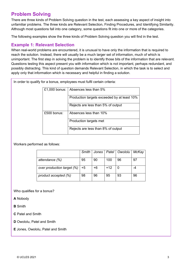# **Problem Solving**

There are three kinds of Problem Solving question in the test, each assessing a key aspect of insight into unfamiliar problems. The three kinds are Relevant Selection, Finding Procedures, and Identifying Similarity. Although most questions fall into one category, some questions fit into one or more of the categories.

The following examples show the three kinds of Problem Solving question you will find in the test.

### **Example 1: Relevant Selection**

When real-world problems are encountered, it is unusual to have only the information that is required to reach the solution. Instead, there will usually be a much larger set of information, much of which is unimportant. The first step in solving the problem is to identify those bits of the information that are relevant. Questions testing this aspect present you with information which is not important, perhaps redundant, and possibly distracting. This kind of question demands Relevant Selection, in which the task is to select and apply only that information which is necessary and helpful in finding a solution.

In order to qualify for a bonus, employees must fulfil certain criteria:

| $£1,000$ bonus: | Absences less than 5%                       |
|-----------------|---------------------------------------------|
|                 | Production targets exceeded by at least 10% |
|                 | Rejects are less than 5% of output          |
| $£500$ bonus:   | Absences less than 10%                      |
|                 | Production targets met                      |
|                 | Rejects are less than 8% of output          |

Workers performed as follows:

|                            | <b>Smith</b> | Jones |       | Patel   Owololu | McKay |
|----------------------------|--------------|-------|-------|-----------------|-------|
| attendance (%)             | 95           | 90    | 100   | 96              | 97    |
| over production target (%) | +5           | +6    | $+12$ | $\overline{0}$  |       |
| product accepted (%)       | 98           | 96    | 95    | 93              | 96    |

Who qualifies for a bonus?

**A** Nobody

**B** Smith

**C** Patel and Smith

**D** Owololu, Patel and Smith

**E** Jones, Owololu, Patel and Smith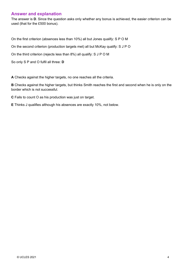### **Answer and explanation**

The answer is **D**. Since the question asks only whether any bonus is achieved, the easier criterion can be used (that for the £500 bonus).

On the first criterion (absences less than 10%) all but Jones qualify: S P O M

On the second criterion (production targets met) all but McKay qualify: S J P O

On the third criterion (rejects less than 8%) all qualify: S J P O M

So only S P and O fulfil all three: **D**

**A** Checks against the higher targets, no one reaches all the criteria.

**B** Checks against the higher targets, but thinks Smith reaches the first and second when he is only on the border which is not successful.

**C** Fails to count O as his production was just on target.

**E** Thinks J qualifies although his absences are exactly 10%, not below.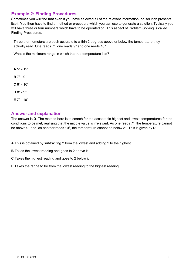# **Example 2: Finding Procedures**

Sometimes you will find that even if you have selected all of the relevant information, no solution presents itself. You then have to find a method or procedure which you can use to generate a solution. Typically you will have three or four numbers which have to be operated on. This aspect of Problem Solving is called Finding Procedures.

Three thermometers are each accurate to within 2 degrees above or below the temperature they actually read. One reads 7°, one reads 9° and one reads 10°.

What is the minimum range in which the true temperature lies?

 $A 5^\circ - 12^\circ$ **B** 7° - 9°  $C 8^\circ - 10^\circ$  $D 8^\circ - 9^\circ$ **E** 7° - 10°

### **Answer and explanation**

The answer is **D**. The method here is to search for the acceptable highest and lowest temperatures for the conditions to be met, realising that the middle value is irrelevant. As one reads 7°, the temperature cannot be above 9° and, as another reads 10°, the temperature cannot be below 8°. This is given by **D**.

- **A** This is obtained by subtracting 2 from the lowest and adding 2 to the highest.
- **B** Takes the lowest reading and goes to 2 above it.
- **C** Takes the highest reading and goes to 2 below it.
- **E** Takes the range to be from the lowest reading to the highest reading.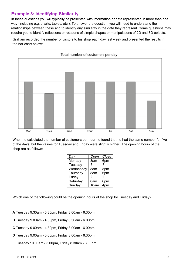# **Example 3: Identifying Similarity**

In these questions you will typically be presented with information or data represented in more than one way (including e.g. charts, tables, etc.). To answer the question, you will need to understand the relationships between these and to identify any similarity in the data they represent. Some questions may require you to identify reflections or rotations of simple shapes or manipulations of 2D and 3D objects.

Graham recorded the number of visitors to his shop each day last week and presented the results in the bar chart below:



When he calculated the number of customers per hour he found that he had the same number for five of the days, but the values for Tuesday and Friday were slightly higher. The opening hours of the shop are as follows:

| Day       | Open | Close |
|-----------|------|-------|
| Monday    | 8am  | 6pm   |
| Tuesday   | ?    | ?     |
| Wednesday | 8am  | 8pm   |
| Thursday  | 8am  | 6pm   |
| Friday    | ?    | ?     |
| Saturday  | 8am  | 6pm   |
| Sunday    | 10am | 4pm   |
|           |      |       |

Which one of the following could be the opening hours of the shop for Tuesday and Friday?

**A** Tuesday 9.30am - 5.30pm, Friday 8.00am - 6.30pm

**B** Tuesday 9.00am - 4.30pm, Friday 8.30am - 6.00pm

**C** Tuesday 9.00am - 4.30pm, Friday 8.00am - 6.00pm

**D** Tuesday 9.00am - 5.00pm, Friday 8.00am - 6.30pm

**E** Tuesday 10.00am - 5.00pm, Friday 8.30am - 6.00pm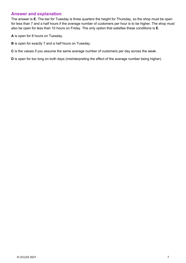### **Answer and explanation**

The answer is **E**. The bar for Tuesday is three quarters the height for Thursday, so the shop must be open for less than 7 and a half hours if the average number of customers per hour is to be higher. The shop must also be open for less than 10 hours on Friday. The only option that satisfies these conditions is **E**.

**A** is open for 8 hours on Tuesday.

**B** is open for exactly 7 and a half hours on Tuesday.

**C** is the values if you assume the same average number of customers per day across the week.

**D** is open for too long on both days (misinterpreting the effect of the average number being higher).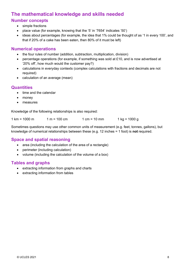# **The mathematical knowledge and skills needed**

# **Number concepts**

- simple fractions
- place value (for example, knowing that the '5' in '7654' indicates '50')
- ideas about percentages (for example, the idea that 1% could be thought of as '1 in every 100', and that if 20% of a cake has been eaten, then 80% of it must be left)

### **Numerical operations**

- the four rules of number (addition, subtraction, multiplication, division)
- percentage operations (for example, if something was sold at £10, and is now advertised at '20% off', how much would the customer pay?)
- calculations in everyday contexts (complex calculations with fractions and decimals are not required)
- calculation of an average (mean)

### **Quantities**

- time and the calendar
- money
- measures

Knowledge of the following relationships is also required:

 $1 \text{ km} = 1000 \text{ m}$   $1 \text{ m} = 100 \text{ cm}$   $1 \text{ cm} = 10 \text{ mm}$   $1 \text{ kg} = 1000 \text{ g}$ 

Sometimes questions may use other common units of measurement (e.g. feet, tonnes, gallons), but knowledge of numerical relationships between these (e.g. 12 inches = 1 foot) is **not** required.

# **Space and spatial reasoning**

- area (including the calculation of the area of a rectangle)
- perimeter (including calculation)
- volume (including the calculation of the volume of a box)

# **Tables and graphs**

- extracting information from graphs and charts
- extracting information from tables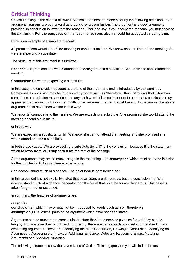# **Critical Thinking**

Critical Thinking in the context of BMAT Section 1 can best be made clear by the following definition: In an argument, **reasons** are put forward as grounds for a **conclusion**. The argument is a good argument provided its conclusion follows from the reasons. That is to say, if you accept the reasons, you must accept the conclusion. **For the purposes of this test, the reasons given should be accepted as being true.**

Here is an example of a simple argument:

Jill promised she would attend the meeting or send a substitute. We know she can't attend the meeting. So we are expecting a substitute.

The structure of this argument is as follows:

**Reasons:** Jill promised she would attend the meeting or send a substitute. We know she can't attend the meeting.

**Conclusion:** So we are expecting a substitute.

In this case, the conclusion appears at the end of the argument, and is introduced by the word 'so'. Sometimes a conclusion may be introduced by words such as 'therefore', 'thus', 'it follows that'. However, sometimes a conclusion may not contain any such word. It is also important to note that a conclusion may appear at the beginning of, or in the middle of, an argument, rather than at the end. For example, the above argument could have been written in this way:

We know Jill cannot attend the meeting. We are expecting a substitute. She promised she would attend the meeting or send a substitute.

or in this way:

We are expecting a substitute for Jill. We know she cannot attend the meeting, and she promised she would attend or send a substitute.

In both these cases, 'We are expecting a substitute (for Jill)' is the conclusion, because it is the statement which **follows from**, or **is supported by**, the rest of the passage.

Some arguments may omit a crucial stage in the reasoning – an **assumption** which must be made in order for the conclusion to follow. Here is an example:

She doesn't stand much of a chance. The polar bear is right behind her.

In this argument it is not explicitly stated that polar bears are dangerous, but the conclusion that 'she doesn't stand much of a chance' depends upon the belief that polar bears are dangerous. This belief is taken for granted, or assumed.

In summary, the features of arguments are:

#### **reason(s)**

**conclusion(s)** (which may or may not be introduced by words such as 'so', 'therefore') **assumption(s)** i.e. crucial parts of the argument which have not been stated.

Arguments can be much more complex in structure than the examples given so far and they can be lengthy. But whatever their length and complexity, there are certain skills involved in understanding and evaluating arguments. These are: Identifying the Main Conclusion, Drawing a Conclusion, Identifying an Assumption, Assessing the Impact of Additional Evidence, Detecting Reasoning Errors, Matching Arguments and Applying Principles.

The following examples show the seven kinds of Critical Thinking question you will find in the test.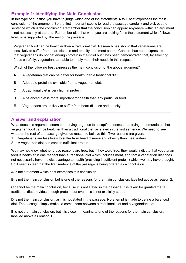# **Example 1: Identifying the Main Conclusion**

In this type of question you have to judge which one of the statements **A** to **E** best expresses the main conclusion of the argument. So the first important step is to read the passage carefully and pick out the sentence which is the conclusion. Remember that the conclusion can appear anywhere within an argument – not necessarily at the end. Remember also that what you are looking for is the statement which follows from, or is supported by, the rest of the passage.

Vegetarian food can be healthier than a traditional diet. Research has shown that vegetarians are less likely to suffer from heart disease and obesity than meat eaters. Concern has been expressed that vegetarians do not get enough protein in their diet but it has been demonstrated that, by selecting foods carefully, vegetarians are able to amply meet their needs in this respect.

Which of the following best expresses the main conclusion of the above argument?

- **A** A vegetarian diet can be better for health than a traditional diet.
- **B** Adequate protein is available from a vegetarian diet.
- **C** A traditional diet is very high in protein.
- **D** A balanced diet is more important for health than any particular food.
- **E** Vegetarians are unlikely to suffer from heart disease and obesity.

### **Answer and explanation**

What does this argument seem to be trying to get us to accept? It seems to be trying to persuade us that vegetarian food can be healthier than a traditional diet, as stated in the first sentence. We need to see whether the rest of the passage gives us reason to believe this. Two reasons are given:

- 1. Vegetarians are less likely to suffer from heart disease and obesity than meat eaters.
- 2. A vegetarian diet can contain sufficient protein.

We may not know whether these reasons are true, but if they were true, they would indicate that vegetarian food is healthier in one respect than a traditional diet which includes meat, and that a vegetarian diet does not necessarily have the disadvantage to health (providing insufficient protein) which we may have thought. So it seems clear that the first sentence of the passage is being offered as a conclusion.

**A** is the statement which best expresses this conclusion.

**B** is not the main conclusion but is one of the reasons for the main conclusion, labelled above as reason 2.

**C** cannot be the main conclusion, because it is not stated in the passage. It is taken for granted that a traditional diet provides enough protein, but even this is not explicitly stated.

**D** is not the main conclusion, as it is not stated in the passage. No attempt is made to define a balanced diet. The passage simply makes a comparison between a traditional diet and a vegetarian diet.

**E** is not the main conclusion, but it is close in meaning to one of the reasons for the main conclusion, labelled above as reason 1.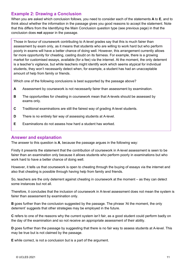# **Example 2: Drawing a Conclusion**

When you are asked which conclusion follows, you need to consider each of the statements **A** to **E**, and to think about whether the information in the passage gives you good reasons to accept the statement. Note that this differs from the Identifying the Main Conclusion question type (see previous page) in that the conclusion does **not** appear in the passage.

Those in favour of coursework contributing to A-level grades say that this is much fairer than assessment by exam only, as it means that students who are willing to work hard but who perform poorly in exams will have a better chance of doing well. However, this arrangement currently allows far more opportunity for cheating, casting doubt on its fairness. For example, there is a growing market for customised essays, available (for a fee) via the internet. At the moment, the only deterrent is a teacher's vigilance, but while teachers might identify work which seems atypical for individual students, they won't necessarily detect when, for example, a student has had an unacceptable amount of help from family or friends.

Which one of the following conclusions is best supported by the passage above?

- **A** Assessment by coursework is not necessarily fairer than assessment by examination.
- **B** The opportunities for cheating in coursework mean that A-levels should be assessed by exams only.
- **C** Traditional examinations are still the fairest way of grading A-level students.
- **D** There is no entirely fair way of assessing students at A-level.
- **E** Examinations do not assess how hard a student has worked.

#### **Answer and explanation**

The answer to this question is **A**, because the passage argues in the following way:

Firstly it presents the statement that the contribution of coursework in A-level assessment is seen to be fairer than an examination only because it allows students who perform poorly in examinations but who work hard to have a better chance of doing well.

However, it tells us that coursework is open to cheating through the buying of essays via the internet and also that cheating is possible through having help from family and friends.

So, teachers are the only deterrent against cheating in coursework at the moment – as they can detect some instances but not all.

Therefore, it concludes that the inclusion of coursework in A-level assessment does not mean the system is fairer than assessment by examination only.

**B** goes further than the conclusion suggested by the passage. The phrase 'At the moment, the only deterrent' suggests that other strategies may be employed in the future.

**C** refers to one of the reasons why the current system isn't fair, as a good student could perform badly on the day of the examination and so not receive an appropriate assessment of their ability.

**D** goes further than the passage by suggesting that there is no fair way to assess students at A-level. This may be true but is not claimed by the passage.

**E** while correct, is not a conclusion but is a part of the argument.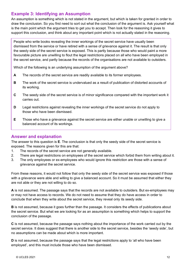# **Example 3: Identifying an Assumption**

An assumption is something which is not stated in the argument, but which is taken for granted in order to draw the conclusion. So you first need to sort out what the conclusion of the argument is. Ask yourself what is the main point which the argument tries to get you to accept. Then look for the reasoning it gives to support this conclusion, and think about any important point which is not actually stated in the reasoning.

People who write books revealing the inner workings of the secret service have usually been dismissed from the service or have retired with a sense of grievance against it. The result is that only the seedy side of the secret service is exposed. This is partly because those who would paint a more favourable picture are unwilling to flout the legal restrictions placed on all who have been employed in the secret service, and partly because the records of the organisations are not available to outsiders.

Which of the following is an underlying assumption of the argument above?

- **A** The records of the secret service are readily available to its former employees.
- **B** The work of the secret service is undervalued as a result of publication of distorted accounts of its working.
- **C** The seedy side of the secret service is of minor significance compared with the important work it carries out.
- **D** Legal restrictions against revealing the inner workings of the secret service do not apply to those who have been dismissed.
- **E** Those who have a grievance against the secret service are either unable or unwilling to give a balanced account of its workings.

### **Answer and explanation**

The answer to this question is **E**. The conclusion is that only the seedy side of the secret service is exposed. The reasons given for this are that:

- 1. The records of the secret service are not generally available.
- 2. There are legal restrictions on employees of the secret service which forbid them from writing about it.
- 3. The only employees or ex-employees who would ignore this restriction are those with a sense of grievance against the secret service.

From these reasons, it would not follow that only the seedy side of the secret service was exposed if those with a grievance were able and willing to give a balanced account. So it must be assumed that either they are not able or they are not willing to do so.

**A** is not assumed. The passage says that the records are not available to outsiders. But ex-employees may or may not have access to records. We do not need to assume that they do have access in order to conclude that when they write about the secret service, they reveal only its seedy side.

**B** is not assumed, because it goes further than the passage. It considers the effects of publications about the secret service. But what we are looking for as an assumption is something which helps to support the conclusion of the passage.

**C** is not assumed, because the passage says nothing about the importance of the work carried out by the secret service. It does suggest that there is another side to the secret service, besides the 'seedy side', but no assumptions can be made about which is more important.

**D** is not assumed, because the passage says that the legal restrictions apply to 'all who have been employed', and this must include those who have been dismissed.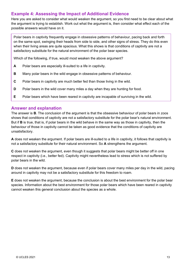# **Example 4: Assessing the Impact of Additional Evidence**

Here you are asked to consider what would weaken the argument, so you first need to be clear about what the argument is trying to establish. Work out what the argument is, then consider what effect each of the possible answers would have on it.

Polar bears in captivity frequently engage in obsessive patterns of behaviour, pacing back and forth on the same spot, swinging their heads from side to side, and other signs of stress. They do this even when their living areas are quite spacious. What this shows is that conditions of captivity are not a satisfactory substitute for the natural environment of the polar bear species.

Which of the following, if true, would most weaken the above argument?

- **A** Polar bears are especially ill-suited to a life in captivity.
- **B** Many polar bears in the wild engage in obsessive patterns of behaviour.
- **C** Polar bears in captivity are much better fed than those living in the wild.
- **D** Polar bears in the wild cover many miles a day when they are hunting for food.
- **E** Polar bears which have been reared in captivity are incapable of surviving in the wild.

### **Answer and explanation**

The answer is **B**. The conclusion of the argument is that the obsessive behaviour of polar bears in zoos shows that conditions of captivity are not a satisfactory substitute for the polar bear's natural environment. But if **B** is true, that is, if polar bears in the wild behave in the same way as those in captivity, then the behaviour of those in captivity cannot be taken as good evidence that the conditions of captivity are unsatisfactory.

**A** does not weaken the argument. If polar bears are ill-suited to a life in captivity, it follows that captivity is not a satisfactory substitute for their natural environment. So **A** strengthens the argument.

**C** does not weaken the argument, even though it suggests that polar bears might be better off in one respect in captivity (i.e., better fed). Captivity might nevertheless lead to stress which is not suffered by polar bears in the wild.

**D** does not weaken the argument, because even if polar bears cover many miles per day in the wild, pacing around in captivity may not be a satisfactory substitute for this freedom to roam.

**E** does not weaken the argument, because the conclusion is about the best environment for the polar bear species. Information about the best environment for those polar bears which have been reared in captivity cannot weaken this general conclusion about the species as a whole.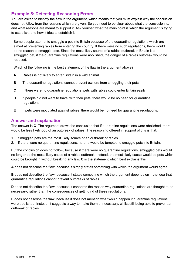# **Example 5: Detecting Reasoning Errors**

You are asked to identify the flaw in the argument, which means that you must explain why the conclusion does not follow from the reasons which are given. So you need to be clear about what the conclusion is, and what reasons are meant to support it. Ask yourself what the main point is which the argument is trying to establish, and how it tries to establish it.

Some people attempt to smuggle a pet into Britain because of the quarantine regulations which are aimed at preventing rabies from entering the country. If there were no such regulations, there would be no reason to smuggle pets. Since the most likely source of a rabies outbreak in Britain is a smuggled pet, if the quarantine regulations were abolished, the danger of a rabies outbreak would be reduced.

Which of the following is the best statement of the flaw in the argument above?

- **A** Rabies is not likely to enter Britain in a wild animal.
- **B** The quarantine regulations cannot prevent owners from smuggling their pets.
- **C** If there were no quarantine regulations, pets with rabies could enter Britain easily.
- **D** If people did not want to travel with their pets, there would be no need for quarantine regulations.
- **E** If pets were inoculated against rabies, there would be no need for quarantine regulations.

### **Answer and explanation**

The answer is **C**. The argument draws the conclusion that if quarantine regulations were abolished, there would be less likelihood of an outbreak of rabies. The reasoning offered in support of this is that:

- 1. Smuggled pets are the most likely source of an outbreak of rabies.
- 2. If there were no quarantine regulations, no-one would be tempted to smuggle pets into Britain.

But the conclusion does not follow, because if there were no quarantine regulations, smuggled pets would no longer be the most likely cause of a rabies outbreak. Instead, the most likely cause would be pets which could be brought in without breaking any law. **C** is the statement which best explains this.

**A** does not describe the flaw, because it simply states something with which the argument would agree.

**B** does not describe the flaw, because it states something which the argument depends on – the idea that quarantine regulations cannot prevent outbreaks of rabies.

**D** does not describe the flaw, because it concerns the reason why quarantine regulations are thought to be necessary, rather than the consequences of getting rid of these regulations.

**E** does not describe the flaw, because it does not mention what would happen if quarantine regulations were abolished. Instead, it suggests a way to make them unnecessary, whilst still being able to prevent an outbreak of rabies.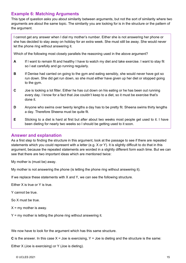# **Example 6: Matching Arguments**

This type of question asks you about similarity between arguments, but not the sort of similarity where two arguments are about the same topic. The similarity you are looking for is in the structure or the pattern of the argument.

I cannot get any answer when I dial my mother's number. Either she is not answering her phone or she has decided to stay away on holiday for an extra week. She must still be away. She would never let the phone ring without answering it.

Which of the following most closely parallels the reasoning used in the above argument?

- **A** If I want to remain fit and healthy I have to watch my diet and take exercise. I want to stay fit so I eat carefully and go running regularly.
- **B** If Denise had carried on going to the gym and eating sensibly, she would never have got so run down. She did get run down, so she must either have given up her diet or stopped going to the gym.
- **C** Joe is looking a lot fitter. Either he has cut down on his eating or he has been out running every day. I know for a fact that Joe couldn't keep to a diet, so it must be exercise that's done it.
- **D** Anyone who swims over twenty lengths a day has to be pretty fit. Sheena swims thirty lengths a day. Therefore Sheena must be quite fit.
- **E** Sticking to a diet is hard at first but after about two weeks most people get used to it. I have been dieting for nearly two weeks so I should be getting used to it soon.

### **Answer and explanation**

As a first step to finding the structure in this argument, look at the passage to see if there are repeated statements which you could represent with a letter (e.g. X or Y). It is slightly difficult to do that in this argument, because the repeated statements are worded in a slightly different form each time. But we can see that there are two important ideas which are mentioned twice:

My mother is (must be) away.

My mother is not answering the phone (is letting the phone ring without answering it).

If we replace these statements with X and Y, we can see the following structure.

Either X is true or Y is true.

Y cannot be true.

So X must be true.

 $X = mV$  mother is away.

 $Y = my$  mother is letting the phone ring without answering it.

We now have to look for the argument which has this same structure.

**C** is the answer. In this case  $X =$  Joe is exercising,  $Y =$  Joe is dieting and the structure is the same:

Either X (Joe is exercising) or Y (Joe is dieting).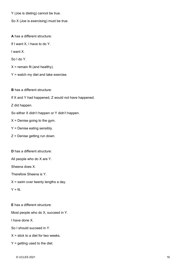Y (Joe is dieting) cannot be true.

So X (Joe is exercising) must be true.

**A** has a different structure:

If I want X, I have to do Y.

I want X.

So I do Y.

 $X =$  remain fit (and healthy).

 $Y =$  watch my diet and take exercise.

**B** has a different structure:

If X and Y had happened, Z would not have happened.

Z did happen.

So either X didn't happen or Y didn't happen.

 $X =$  Denise going to the gym.

- Y = Denise eating sensibly.
- Z = Denise getting run down.

**D** has a different structure:

All people who do X are Y.

Sheena does X.

Therefore Sheena is Y.

 $X =$  swim over twenty lengths a day.

 $Y = fit$ .

**E** has a different structure:

Most people who do X, succeed in Y.

I have done X.

So I should succeed in Y.

 $X =$  stick to a diet for two weeks.

 $Y =$  getting used to the diet.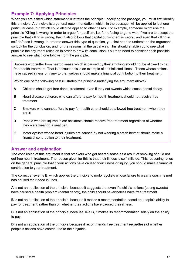# **Example 7: Applying Principles**

When you are asked which statement illustrates the principle underlying the passage, you must first identify this principle. A principle is a general recommendation, which, in the passage, will be applied to just one particular case, but which could also be applied to other cases. For example, someone might use the principle 'Killing is wrong' in order to argue for pacifism, i.e. for refusing to go to war. If we are to accept the principle that killing is wrong, then it also follows that capital punishment is wrong, and even that killing in self-defence is wrong. In order to answer this type of question, you first need to understand the argument, so look for the conclusion, and for the reasons, in the usual way. This should enable you to see what principle the argument relies on in order to draw its conclusion. You then need to consider each possible answer to see which one follows from the principle.

Smokers who suffer from heart disease which is caused by their smoking should not be allowed to get free health treatment. That is because this is an example of self-inflicted illness. Those whose actions have caused illness or injury to themselves should make a financial contribution to their treatment.

Which one of the following best illustrates the principle underlying the argument above?

- **A** Children should get free dental treatment, even if they eat sweets which cause dental decay.
- **B** Heart disease sufferers who can afford to pay for health treatment should not receive free treatment.
- **C** Smokers who cannot afford to pay for health care should be allowed free treatment when they are ill.
- **D** People who are injured in car accidents should receive free treatment regardless of whether they were wearing a seat belt.
- **E** Motor cyclists whose head injuries are caused by not wearing a crash helmet should make a financial contribution to their treatment.

#### **Answer and explanation**

The conclusion of this argument is that smokers who get heart disease as a result of smoking should not get free health treatment. The reason given for this is that their illness is self-inflicted. This reasoning relies on the general principle that if your actions have caused your illness or injury, you should make a financial contribution to your treatment.

The correct answer is **E**, which applies the principle to motor cyclists whose failure to wear a crash helmet has caused their head injuries.

**A** is not an application of the principle, because it suggests that even if a child's actions (eating sweets) have caused a health problem (dental decay), the child should nevertheless have free treatment.

**B** is not an application of the principle, because it makes a recommendation based on people's ability to pay for treatment, rather than on whether their actions have caused their illness.

**C** is not an application of the principle, because, like **B**, it makes its recommendation solely on the ability to pay.

**D** is not an application of the principle because it recommends free treatment regardless of whether people's actions have contributed to their injuries.